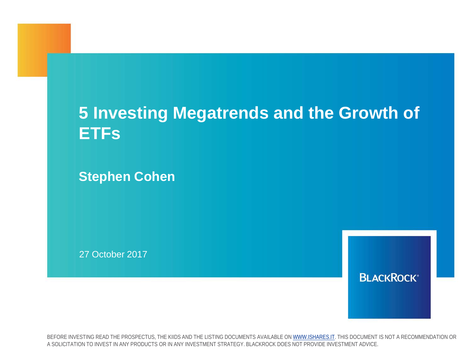## **5 Investing Megatrends and the Growth of ETFs**

**Stephen Cohen**

27 October 2017

**BLACKROCK®** 

BEFORE INVESTING READ THE PROSPECTUS, THE KIIDS AND THE LISTING DOCUMENTS AVAILABLE ON [WWW.ISHARES.IT.](http://www.ishares.it/) THIS DOCUMENT IS NOT A RECOMMENDATION OR A SOLICITATION TO INVEST IN ANY PRODUCTS OR IN ANY INVESTMENT STRATEGY. BLACKROCK DOES NOT PROVIDE INVESTMENT ADVICE.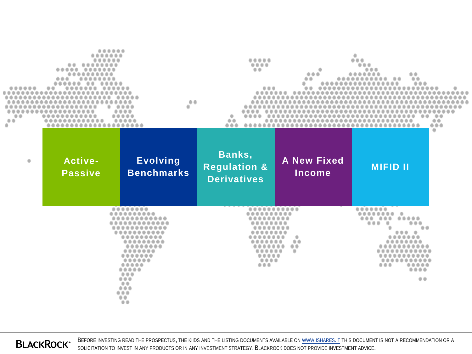| ۰<br>00<br>di. | ۰<br><br>                 | 0.0<br>۰                                                          | 0.0<br>000<br>۰<br>0.0<br>0.0.0<br>                     | 000<br>00                    | 0.0.0<br>00<br>$\bullet$ $\bullet$<br>. .                        | ÷<br>赤条<br>0000<br>÷ |
|----------------|---------------------------|-------------------------------------------------------------------|---------------------------------------------------------|------------------------------|------------------------------------------------------------------|----------------------|
| ۰              | Active-<br><b>Passive</b> | <b>Evolving</b><br><b>Benchmarks</b>                              | Banks,<br><b>Regulation &amp;</b><br><b>Derivatives</b> | <b>A New Fixed</b><br>Income | <b>MIFID II</b>                                                  |                      |
|                |                           | . .<br><br><br><br><br><br>$\Rightarrow$<br>0.01<br><br>00<br>0.0 | <br><br>                                                | 曲曲<br>$\cdots$<br>00<br>۰    | <br>۰<br><br>春春<br>$\otimes$ $\otimes$<br><br><br>0.0.0.0<br>0.0 |                      |

**BLACKROCK®** 

BEFORE INVESTING READ THE PROSPECTUS, THE KIIDS AND THE LISTING DOCUMENTS AVAILABLE ON [WWW.ISHARES.IT](http://www.ishares.it/) THIS DOCUMENT IS NOT A RECOMMENDATION OR A SOLICITATION TO INVEST IN ANY PRODUCTS OR IN ANY INVESTMENT STRATEGY. BLACKROCK DOES NOT PROVIDE INVESTMENT ADVICE.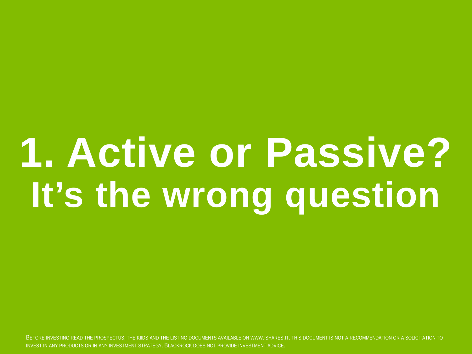## **1. Active or Passive? It's the wrong question**

INVEST IN ANY PRODUCTS OR IN ANY INVESTMENT STRATEGY. BLACKROCK DOES NOT PROVIDE INVESTMENT ADVICE. THE STRATEGY ONLY 1999 THE STRATEGY OF THE STRATEGY OF THE STRATEGY OF THE STRATEGY OF THE STRATEGY OF THE STRATEGY OF THE BEFORE INVESTING READ THE PROSPECTUS, THE KIIDS AND THE LISTING DOCUMENTS AVAILABLE ON WWW.ISHARES.IT. THIS DOCUMENT IS NOT A RECOMMENDATION OR A SOLICITATION TO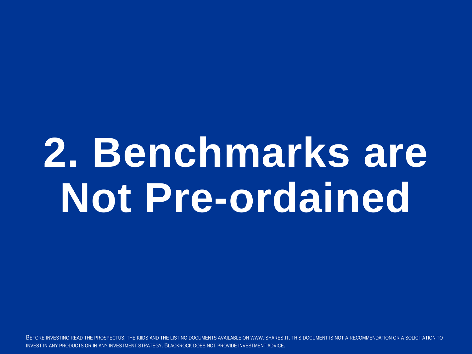## **2. Benchmarks are Not Pre-ordained**

INVEST IN ANY PRODUCTS OR IN ANY INVESTMENT STRATEGY. BLACKROCK DOES NOT PROVIDE INVESTMENT ADVICE. The company of the company of the company of the company of the company of the company of the company of the company of th BEFORE INVESTING READ THE PROSPECTUS, THE KIIDS AND THE LISTING DOCUMENTS AVAILABLE ON WWW.ISHARES.IT. THIS DOCUMENT IS NOT A RECOMMENDATION OR A SOLICITATION TO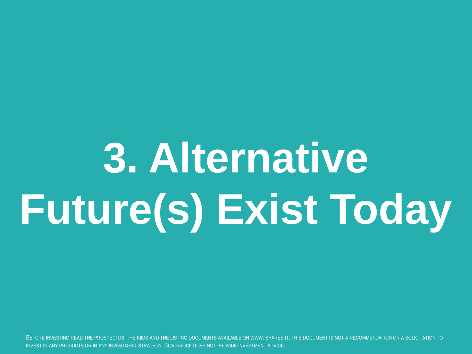# **3. Alternative Future(s) Exist Today**

INVEST IN ANY PRODUCTS OR IN ANY INVESTMENT STRATEGY. BLACKROCK DOES NOT PROVIDE INVESTMENT ADVICE. The comparison of the comparison of the comparison of the comparison of the comparison of the comparison of the comparison BEFORE INVESTING READ THE PROSPECTUS, THE KIIDS AND THE LISTING DOCUMENTS AVAILABLE ON WWW.ISHARES.IT. THIS DOCUMENT IS NOT A RECOMMENDATION OR A SOLICITATION TO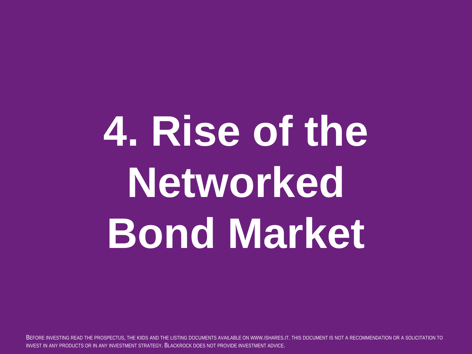# **4. Rise of the Networked Bond Market**

INVEST IN ANY PRODUCTS OR IN ANY INVESTMENT STRATEGY. BLACKROCK DOES NOT PROVIDE INVESTMENT ADVICE. THE STRATH ONLY 1999 ON A STRATH ONLY 1999 ONLY 1999 ON A STRATH ONLY 1999 ONLY 1999 ONLY 1999 ONLY 1999 ONLY 1999 ONLY 19 BEFORE INVESTING READ THE PROSPECTUS, THE KIIDS AND THE LISTING DOCUMENTS AVAILABLE ON WWW.ISHARES.IT. THIS DOCUMENT IS NOT A RECOMMENDATION OR A SOLICITATION TO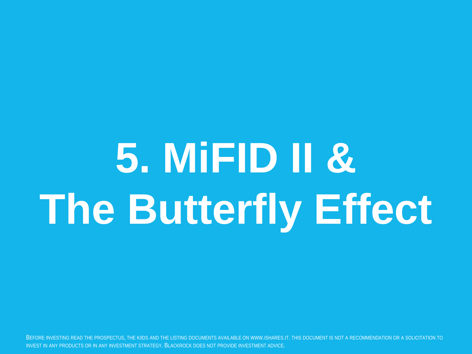# **5. MiFID II & The Butterfly Effect**

INVEST IN ANY PRODUCTS OR IN ANY INVESTMENT STRATEGY. BLACKROCK DOES NOT PROVIDE INVESTMENT ADVICE. The company of the company of the company of the company of the company of the company of the company of the company of th BEFORE INVESTING READ THE PROSPECTUS, THE KIIDS AND THE LISTING DOCUMENTS AVAILABLE ON WWW.ISHARES.IT. THIS DOCUMENT IS NOT A RECOMMENDATION OR A SOLICITATION TO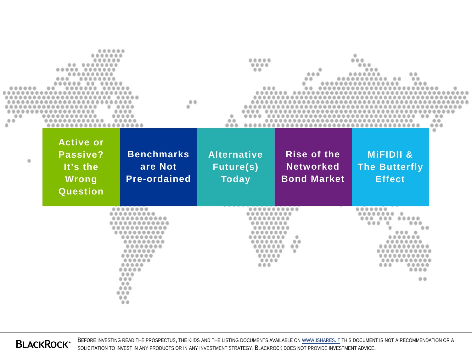| 00<br>ä  |                                                               | 0.0<br>                                             | <br><br>0.0<br>0.0<br>0.0.0<br>                        |                                                              | 楽曲                                                            | $- - -$<br>a |
|----------|---------------------------------------------------------------|-----------------------------------------------------|--------------------------------------------------------|--------------------------------------------------------------|---------------------------------------------------------------|--------------|
| $\oplus$ | <b>Active or</b><br>Passive?<br>It's the<br>Wrong<br>Question | <b>Benchmarks</b><br>are Not<br><b>Pre-ordained</b> | <b>Alternative</b><br><b>Future(s)</b><br><b>Today</b> | <b>Rise of the</b><br><b>Networked</b><br><b>Bond Market</b> | <b>MIFIDII &amp;</b><br><b>The Butterfly</b><br><b>Effect</b> |              |
|          |                                                               | <br><br><br><br><br><br>0000<br>0.0<br>000          | <br>                                                   | $\circ$<br>a                                                 | <br><br><br><br>0.0                                           |              |

**BLACKROCK®** 

BEFORE INVESTING READ THE PROSPECTUS, THE KIIDS AND THE LISTING DOCUMENTS AVAILABLE ON [WWW.ISHARES.IT](http://www.ishares.it/) THIS DOCUMENT IS NOT A RECOMMENDATION OR A SOLICITATION TO INVEST IN ANY PRODUCTS OR IN ANY INVESTMENT STRATEGY. BLACKROCK DOES NOT PROVIDE INVESTMENT ADVICE.